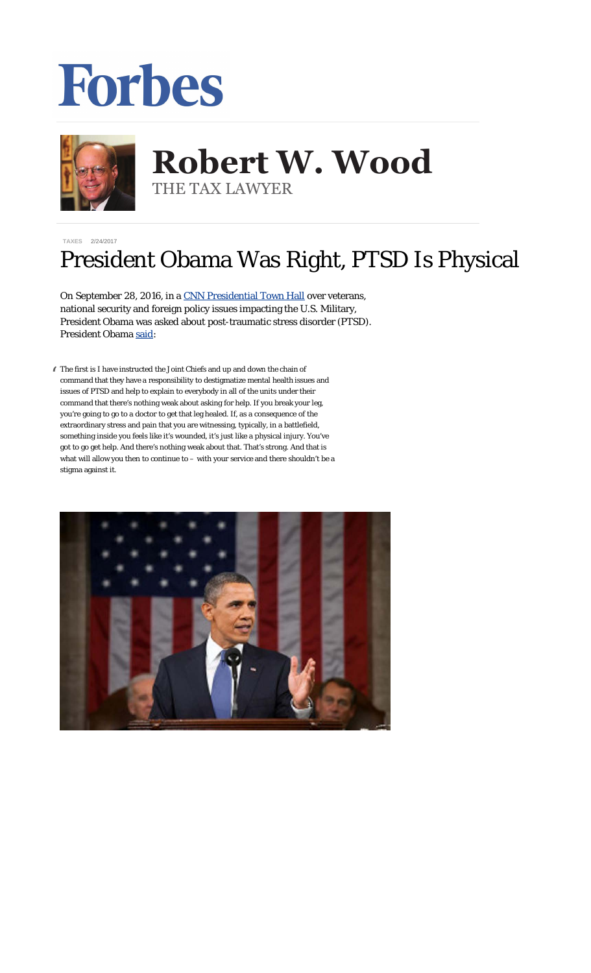## **Forbes**



## **Robert W. Wood Robert W. Wood** THE TAX LAWYER THE TAX LAWYER

**[TAXES](https://www.forbes.com/taxes)** 2/24/2017

## President Obama Was Right, PTSD Is Physical

On September 28, 2016, in a [CNN Presidential Town Hall](http://cnnpressroom.blogs.cnn.com/2016/09/28/transcript-cnn-presidential-town-hall-americas-military-and-the-commander-and-chief/) over veterans, national security and foreign policy issues impacting the U.S. Military, President Obama was asked about post-traumatic stress disorder (PTSD). President Obama [said:](http://cnnpressroom.blogs.cnn.com/2016/09/28/transcript-cnn-presidential-town-hall-americas-military-and-the-commander-and-chief/)

" The first is I have instructed the Joint Chiefs and up and down the chain of command that they have a responsibility to destigmatize mental health issues and issues of PTSD and help to explain to everybody in all of the units under their command that there's nothing weak about asking for help. If you break your leg, you're going to go to a doctor to get that leg healed. If, as a consequence of the extraordinary stress and pain that you are witnessing, typically, in a battlefield, something inside you feels like it's wounded, it's just like a physical injury. You've got to go get help. And there's nothing weak about that. That's strong. And that is what will allow you then to continue to – with your service and there shouldn't be a stigma against it.

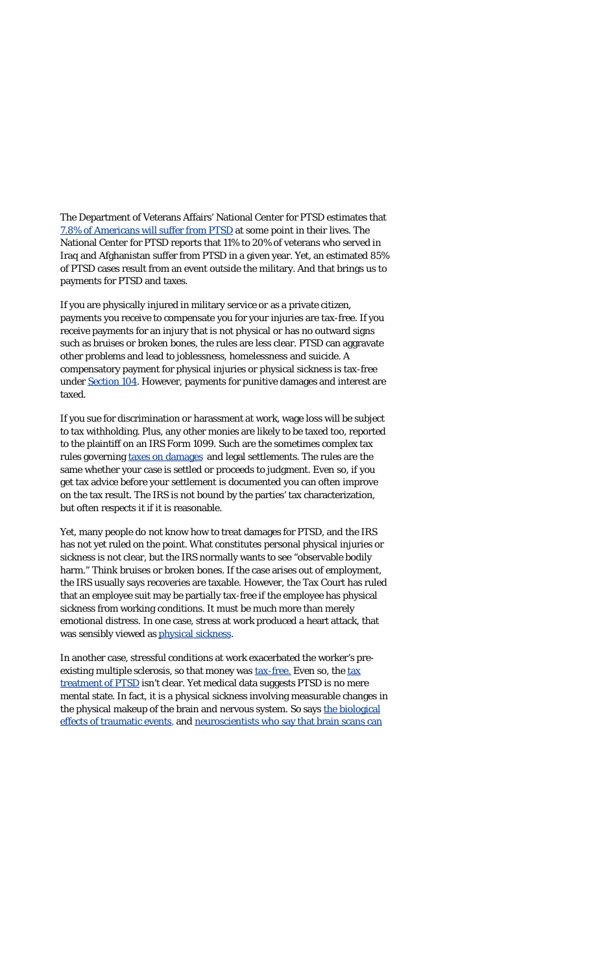The Department of Veterans Affairs' National Center for PTSD estimates that [7.8% of Americans will suffer from PTSD](http://www.ptsd.va.gov/professional/PTSD-overview/epidemiological-facts-ptsd.asp) at some point in their lives. The National Center for PTSD reports that 11% to 20% of veterans who served in Iraq and Afghanistan suffer from PTSD in a given year. Yet, an estimated 85% of PTSD cases result from an event outside the military. And that brings us to payments for PTSD and taxes.

If you are physically injured in military service or as a private citizen, payments you receive to compensate you for your injuries are tax-free. If you receive payments for an injury that is *not* physical or has no outward signs such as bruises or broken bones, the rules are less clear. PTSD can aggravate other problems and lead to joblessness, homelessness and suicide. A compensatory payment for physical injuries or physical sickness is tax-free under [Section 104.](http://www.law.cornell.edu/uscode/26/usc_sec_26_00000104----000-.html) However, payments for punitive damages and interest are taxed.

If you sue for discrimination or harassment at work, wage loss will be subject to tax withholding. Plus, any other monies are likely to be taxed too, reported to the plaintiff on an IRS Form 1099. Such are the sometimes complex tax rules governing [taxes on damages](http://www.forbes.com/2010/04/29/tax-legal-damages-employment-injury-personal-finance-robert-wood.html) and legal settlements. The rules are the same whether your case is settled or proceeds to judgment. Even so, if you get tax advice before your settlement is documented you can often improve on the tax result. The IRS is not bound by the parties' tax characterization, but often respects it if it is reasonable.

Yet, many people do not know how to treat damages for PTSD, and the IRS has not yet ruled on the point. What constitutes personal physical injuries or sickness is not clear, but the IRS normally wants to see "observable bodily harm." Think bruises or broken bones. If the case arises out of employment, the IRS usually says recoveries are taxable. However, the Tax Court has ruled that an employee suit may be partially tax-free if the employee has physical sickness from working conditions. It must be much more than merely emotional distress. In one case, stress at work produced a heart attack, that was sensibly viewed as [physical sickness](http://woodllp.com/Publications/Articles/pdf/Is_Physical_Sickness_the_New_Emotional_Distress.pdf).

In another case, stressful conditions at work exacerbated the worker's preexisting multiple sclerosis, so that money was [tax-free.](http://woodllp.com/Publications/Articles/pdf/Tax-Free_Physical_Sickness_Recoveries_in_2010.pdf) Even so, the [tax](http://www.woodllp.com/Publications/Articles/pdf/PTSD.pdf) [treatment of PTSD](http://www.woodllp.com/Publications/Articles/pdf/PTSD.pdf) isn't clear. Yet medical data suggests PTSD is no mere mental state. In fact, it is a physical sickness involving measurable changes in the physical makeup of the brain and nervous system. So says [the biological](http://www.npr.org/templates/story/story.php?storyId=126637629) [effects of traumatic events](http://www.npr.org/templates/story/story.php?storyId=126637629), and [neuroscientists who say that brain scans can](http://www.wired.com/dangerroom/2010/01/brain-biomarker-could-be-the-key-to-ptsd-diagnosis/)